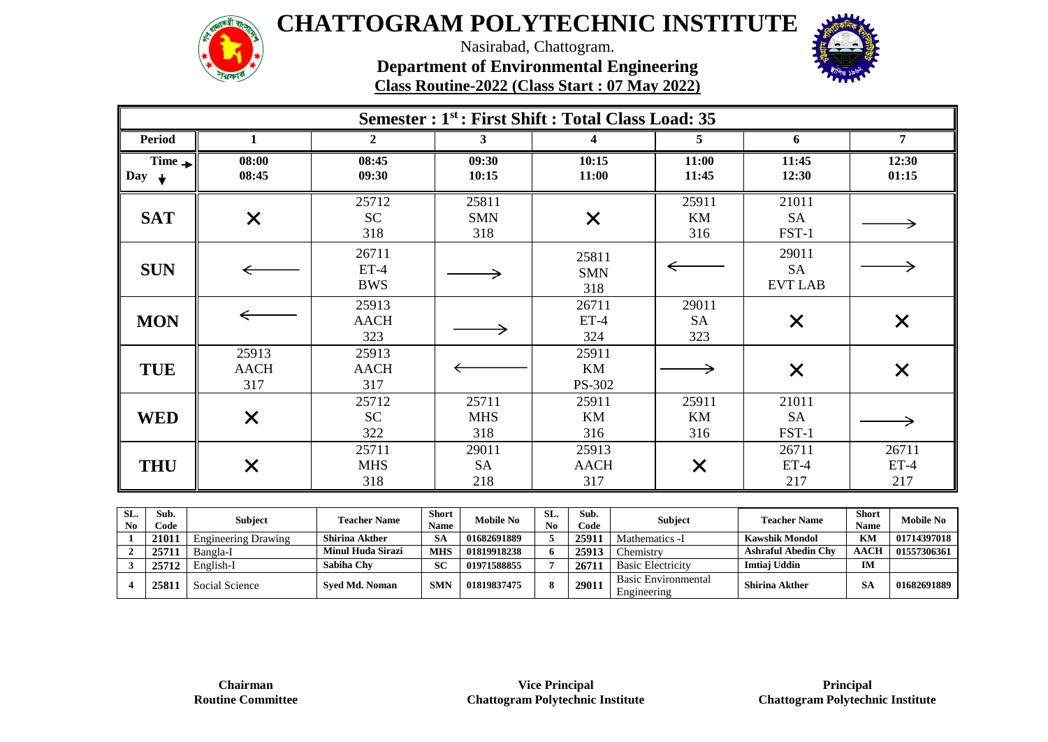

Nasirabad, Chattogram.

**Department of Environmental Engineering** 

**Class Routine-2022 (Class Start : 07 May 2022)**

| Semester : 1 <sup>st</sup> : First Shift : Total Class Load: 35 |                             |                               |                            |                             |                           |                                      |                        |  |  |  |
|-----------------------------------------------------------------|-----------------------------|-------------------------------|----------------------------|-----------------------------|---------------------------|--------------------------------------|------------------------|--|--|--|
| <b>Period</b>                                                   | 1                           | $\overline{2}$                | 3                          | 4                           | 5.                        | 6                                    | 7                      |  |  |  |
| $Time \rightarrow$<br>Day $\downarrow$                          | 08:00<br>08:45              | 08:45<br>09:30                | 09:30<br>10:15             | 10:15<br>11:00              | 11:00<br>11:45            | 11:45<br>12:30                       | 12:30<br>01:15         |  |  |  |
| <b>SAT</b>                                                      | $\times$                    | 25712<br><b>SC</b><br>318     | 25811<br><b>SMN</b><br>318 | $\times$                    | 25911<br>KM<br>316        | 21011<br><b>SA</b><br>FST-1          |                        |  |  |  |
| <b>SUN</b>                                                      |                             | 26711<br>$ET-4$<br><b>BWS</b> |                            | 25811<br><b>SMN</b><br>318  |                           | 29011<br><b>SA</b><br><b>EVT LAB</b> |                        |  |  |  |
| <b>MON</b>                                                      |                             | 25913<br><b>AACH</b><br>323   |                            | 26711<br>$ET-4$<br>324      | 29011<br><b>SA</b><br>323 | $\times$                             | $\times$               |  |  |  |
| <b>TUE</b>                                                      | 25913<br><b>AACH</b><br>317 | 25913<br><b>AACH</b><br>317   |                            | 25911<br>KM<br>PS-302       |                           | X                                    | $\times$               |  |  |  |
| <b>WED</b>                                                      | $\times$                    | 25712<br><b>SC</b><br>322     | 25711<br><b>MHS</b><br>318 | 25911<br>KM<br>316          | 25911<br>KM<br>316        | 21011<br><b>SA</b><br>FST-1          |                        |  |  |  |
| <b>THU</b>                                                      | $\times$                    | 25711<br><b>MHS</b><br>318    | 29011<br><b>SA</b><br>218  | 25913<br><b>AACH</b><br>317 | $\bm{\times}$             | 26711<br>$ET-4$<br>217               | 26711<br>$ET-4$<br>217 |  |  |  |

| SL.<br>N <sub>0</sub> | Sub.<br>Code | <b>Subject</b>             | <b>Teacher Name</b>      | <b>Short</b><br><b>Name</b> | <b>Mobile No</b> | SL.<br>N <sub>0</sub> | Sub.<br>Code | Subject                                   | <b>Teacher Name</b>        | <b>Short</b><br><b>Name</b> | <b>Mobile No</b> |
|-----------------------|--------------|----------------------------|--------------------------|-----------------------------|------------------|-----------------------|--------------|-------------------------------------------|----------------------------|-----------------------------|------------------|
|                       | 21011        | <b>Engineering Drawing</b> | <b>Shirina Akther</b>    | -SA                         | 01682691889      |                       | 25911        | Mathematics -I                            | <b>Kawshik Mondol</b>      | KM                          | 01714397018      |
|                       | 25711        | Bangla-I                   | <b>Minul Huda Sirazi</b> | <b>MHS</b>                  | 01819918238      | -6                    | 25913        | hemistry.                                 | <b>Ashraful Abedin Chv</b> | <b>AACH</b>                 | 01557306361      |
|                       | 25712        | English-I                  | Sabiha Chv               | SC                          | 01971588855      |                       | 26711        | <b>Basic Electricity</b>                  | Imtiai Uddin               | IM                          |                  |
|                       | 25811        | Social Science             | <b>Sved Md. Noman</b>    | <b>SMN</b>                  | 01819837475      | 8                     | 29011        | <b>Basic Environmental</b><br>Engineering | <b>Shirina Akther</b>      | SΑ                          | 01682691889      |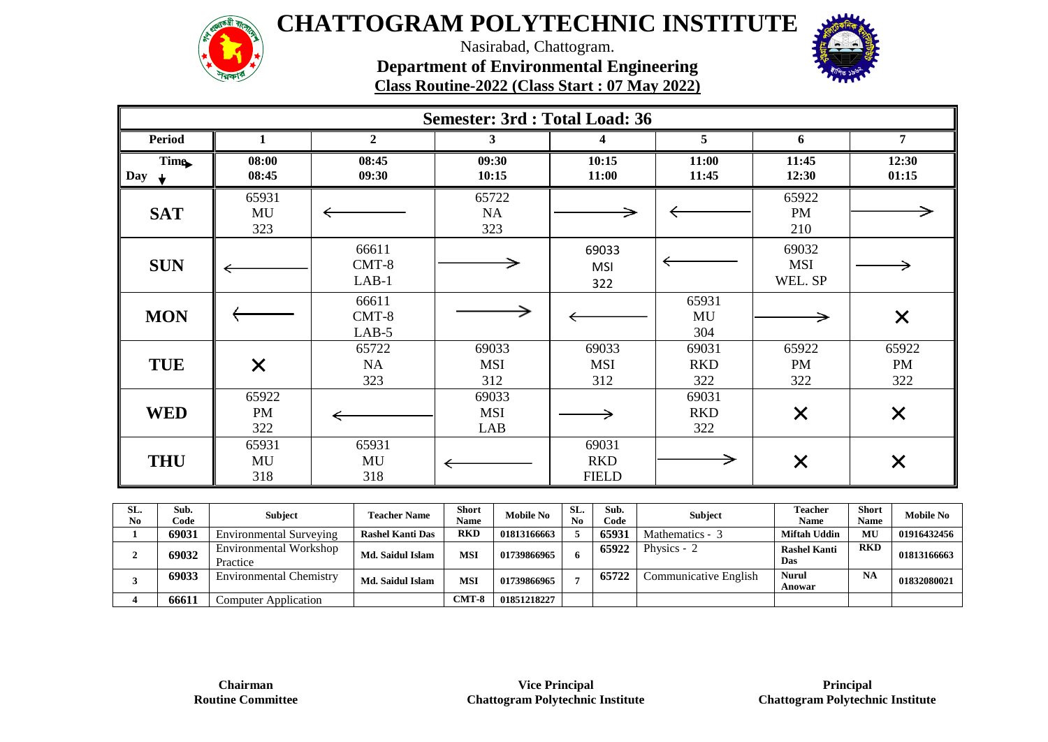

Nasirabad, Chattogram. **Department of Environmental Engineering** 

|                           | $\sqrt{2}$         |                             | Class Routine-2022 (Class Start: 07 May 2022) |                                     | <b><i>PLANE</i></b>        |                                |                           |
|---------------------------|--------------------|-----------------------------|-----------------------------------------------|-------------------------------------|----------------------------|--------------------------------|---------------------------|
|                           |                    |                             | <b>Semester: 3rd : Total Load: 36</b>         |                                     |                            |                                |                           |
| <b>Period</b>             | 1                  | $\boldsymbol{2}$            | 3                                             | 4                                   | 5                          | 6                              | 7                         |
| Time.<br>Day $\downarrow$ | 08:00<br>08:45     | 08:45<br>09:30              | 09:30<br>10:15                                | 10:15<br>11:00                      | 11:00<br>11:45             | 11:45<br>12:30                 | 12:30<br>01:15            |
| <b>SAT</b>                | 65931<br>MU<br>323 |                             | 65722<br>NA<br>323                            |                                     |                            | 65922<br><b>PM</b><br>210      |                           |
| <b>SUN</b>                |                    | 66611<br>$CMT-8$<br>$LAB-1$ |                                               | 69033<br><b>MSI</b><br>322          |                            | 69032<br><b>MSI</b><br>WEL. SP |                           |
| <b>MON</b>                |                    | 66611<br>$CMT-8$<br>$LAB-5$ |                                               |                                     | 65931<br>MU<br>304         |                                | $\times$                  |
| <b>TUE</b>                | $\times$           | 65722<br>NA<br>323          | 69033<br><b>MSI</b><br>312                    | 69033<br><b>MSI</b><br>312          | 69031<br><b>RKD</b><br>322 | 65922<br><b>PM</b><br>322      | 65922<br><b>PM</b><br>322 |
| <b>WED</b>                | 65922<br>PM<br>322 |                             | 69033<br><b>MSI</b><br>LAB                    |                                     | 69031<br><b>RKD</b><br>322 | $\times$                       | $\times$                  |
| <b>THU</b>                | 65931<br>MU<br>318 | 65931<br>MU<br>318          |                                               | 69031<br><b>RKD</b><br><b>FIELD</b> |                            | $\times$                       | X                         |

| SL.<br>N <sub>0</sub> | Sub.<br>Code | <b>Subject</b>                     | <b>Teacher Name</b>     | <b>Short</b><br>Name | <b>Mobile No</b> | SL.<br>No | Sub.<br>Code | <b>Subject</b>        | <b>Teacher</b><br>Name     | Short<br><b>Name</b> | <b>Mobile No</b> |
|-----------------------|--------------|------------------------------------|-------------------------|----------------------|------------------|-----------|--------------|-----------------------|----------------------------|----------------------|------------------|
|                       | 69031        | Environmental Surveying            | <b>Rashel Kanti Das</b> | <b>RKD</b>           | 01813166663      |           | 65931        | Mathematics - 3       | Miftah Uddin               | MU                   | 01916432456      |
|                       | 69032        | Environmental Workshop<br>Practice | Md. Saidul Islam        | MSI                  | 01739866965      | 6.        | 65922        | Physics - 2           | <b>Rashel Kanti</b><br>Das | <b>RKD</b>           | 01813166663      |
|                       | 69033        | <b>Environmental Chemistry</b>     | Md. Saidul Islam        | MSI                  | 01739866965      |           | 65722        | Communicative English | Nurul<br>Anowar            | <b>NA</b>            | 01832080021      |
|                       | 66611        | <b>Computer Application</b>        |                         | $CMT-8$              | 01851218227      |           |              |                       |                            |                      |                  |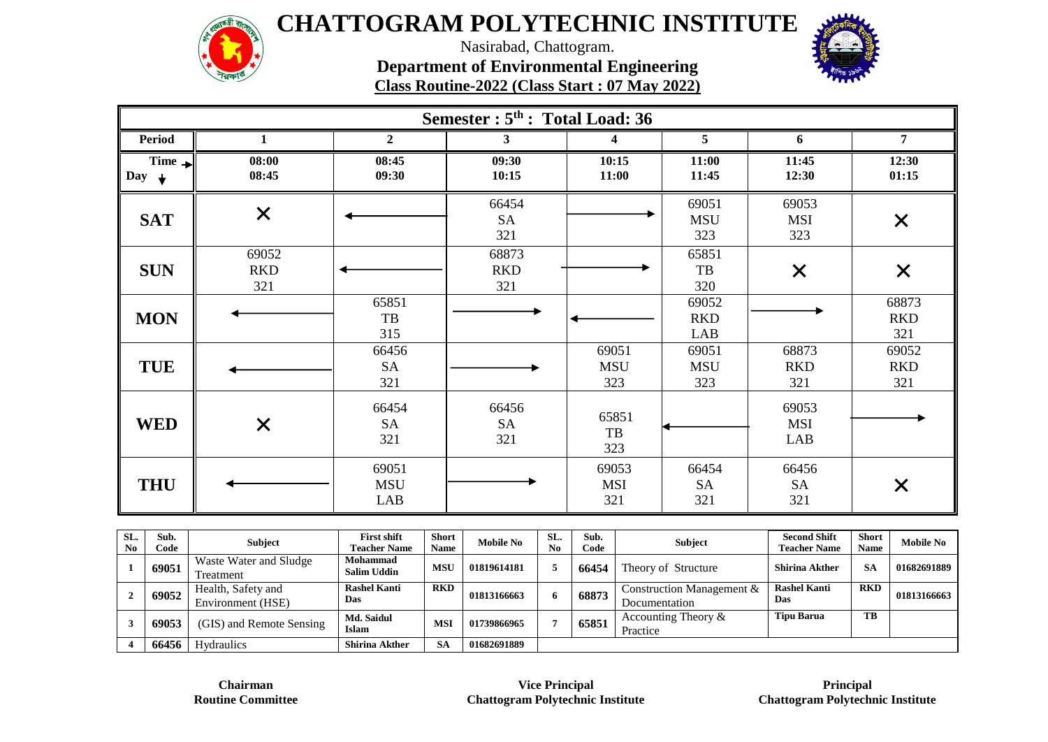

Nasirabad, Chattogram. **Department of Environmental Engineering** 

**Class Routine-2022 (Class Start : 07 May 2022)**



|                                               | Semester : 5 <sup>th</sup> : Total Load: 36 |                            |                            |                            |                              |                            |                            |  |  |  |  |
|-----------------------------------------------|---------------------------------------------|----------------------------|----------------------------|----------------------------|------------------------------|----------------------------|----------------------------|--|--|--|--|
| <b>Period</b>                                 | 1                                           | $\overline{2}$             | $\mathbf{3}$               | 4                          | 5                            | 6                          | $\overline{7}$             |  |  |  |  |
| Time $\rightarrow$<br>$\int$ Day $\downarrow$ | 08:00<br>08:45                              | 08:45<br>09:30             | 09:30<br>10:15             | 10:15<br>11:00             | 11:00<br>11:45               | 11:45<br>12:30             | 12:30<br>01:15             |  |  |  |  |
| <b>SAT</b>                                    | $\times$                                    |                            | 66454<br><b>SA</b><br>321  |                            | 69051<br><b>MSU</b><br>323   | 69053<br><b>MSI</b><br>323 | $\times$                   |  |  |  |  |
| <b>SUN</b>                                    | 69052<br><b>RKD</b><br>321                  |                            | 68873<br><b>RKD</b><br>321 |                            | 65851<br>$_{\rm{TB}}$<br>320 | $\times$                   | $\times$                   |  |  |  |  |
| <b>MON</b>                                    |                                             | 65851<br>TB<br>315         |                            |                            | 69052<br><b>RKD</b><br>LAB   |                            | 68873<br><b>RKD</b><br>321 |  |  |  |  |
| <b>TUE</b>                                    |                                             | 66456<br><b>SA</b><br>321  |                            | 69051<br><b>MSU</b><br>323 | 69051<br><b>MSU</b><br>323   | 68873<br><b>RKD</b><br>321 | 69052<br><b>RKD</b><br>321 |  |  |  |  |
| <b>WED</b>                                    | $\times$                                    | 66454<br><b>SA</b><br>321  | 66456<br><b>SA</b><br>321  | 65851<br>TB<br>323         |                              | 69053<br><b>MSI</b><br>LAB |                            |  |  |  |  |
| <b>THU</b>                                    |                                             | 69051<br><b>MSU</b><br>LAB |                            | 69053<br><b>MSI</b><br>321 | 66454<br><b>SA</b><br>321    | 66456<br><b>SA</b><br>321  | $\times$                   |  |  |  |  |

| SL.<br>N <sub>0</sub> | Sub.<br>Code | <b>Subject</b>                          | <b>First shift</b><br><b>Teacher Name</b> | <b>Short</b><br><b>Name</b> | <b>Mobile No</b> | <b>SL</b><br>No | Sub.<br>Code | <b>Subject</b>                             | <b>Second Shift</b><br><b>Teacher Name</b> | <b>Short</b><br>Name | <b>Mobile No</b> |
|-----------------------|--------------|-----------------------------------------|-------------------------------------------|-----------------------------|------------------|-----------------|--------------|--------------------------------------------|--------------------------------------------|----------------------|------------------|
|                       | 69051        | Waste Water and Sludge<br>Treatment     | Mohammad<br><b>Salim Uddin</b>            | <b>MSU</b>                  | 01819614181      |                 | 66454        | Theory of Structure                        | <b>Shirina Akther</b>                      | <b>SA</b>            | 01682691889      |
|                       | 69052        | Health, Safety and<br>Environment (HSE) | <b>Rashel Kanti</b><br>Das                | <b>RKD</b>                  | 01813166663      | 6               | 68873        | Construction Management &<br>Documentation | <b>Rashel Kanti</b><br>Das                 | <b>RKD</b>           | 01813166663      |
|                       | 69053        | (GIS) and Remote Sensing                | Md. Saidul<br><b>Islam</b>                | <b>MSI</b>                  | 01739866965      |                 | 65851        | Accounting Theory $\&$<br>Practice         | <b>Tipu Barua</b>                          | TB                   |                  |
|                       | 66456        | <b>Hydraulics</b>                       | <b>Shirina Akther</b>                     | <b>SA</b>                   | 01682691889      |                 |              |                                            |                                            |                      |                  |

**Chairman Routine Committee** 

**Principal Chattogram Polytechnic Institute**